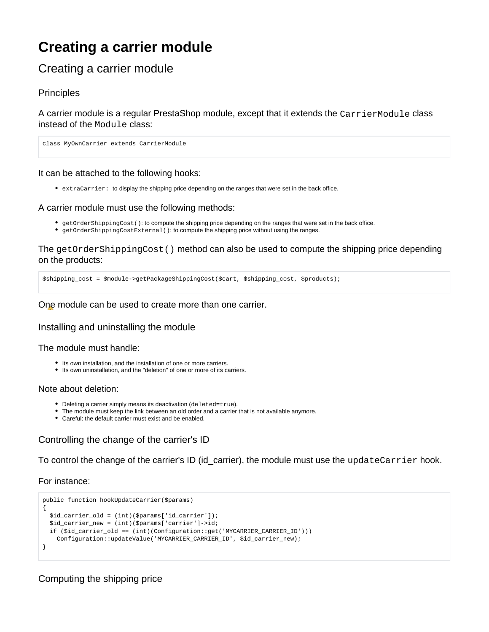# **Creating a carrier module**

# Creating a carrier module

### **Principles**

A carrier module is a regular PrestaShop module, except that it extends the CarrierModule class instead of the Module class:

class MyOwnCarrier extends CarrierModule

It can be attached to the following hooks:

extraCarrier: to display the shipping price depending on the ranges that were set in the back office.

#### A carrier module must use the following methods:

- getOrderShippingCost(): to compute the shipping price depending on the ranges that were set in the back office.
- getOrderShippingCostExternal(): to compute the shipping price without using the ranges.

The getOrderShippingCost() method can also be used to compute the shipping price depending on the products:

\$shipping\_cost = \$module->getPackageShippingCost(\$cart, \$shipping\_cost, \$products);

One module can be used to create more than one carrier.

Installing and uninstalling the module

The module must handle:

- Its own installation, and the installation of one or more carriers.
- Its own uninstallation, and the "deletion" of one or more of its carriers.

#### Note about deletion:

- Deleting a carrier simply means its deactivation (deleted=true).
- The module must keep the link between an old order and a carrier that is not available anymore.
- Careful: the default carrier must exist and be enabled.

## Controlling the change of the carrier's ID

To control the change of the carrier's ID (id\_carrier), the module must use the updateCarrier hook.

For instance:

```
public function hookUpdateCarrier($params)
{
  $id_carrier_old = (int)($params['id_carrier']);
  $id_carrier_new = (int)($params['carrier']->id;
  if ($id_carrier_old == (int)(Configuration::get('MYCARRIER_CARRIER_ID')))
    Configuration::updateValue('MYCARRIER_CARRIER_ID', $id_carrier_new);
}
```
Computing the shipping price